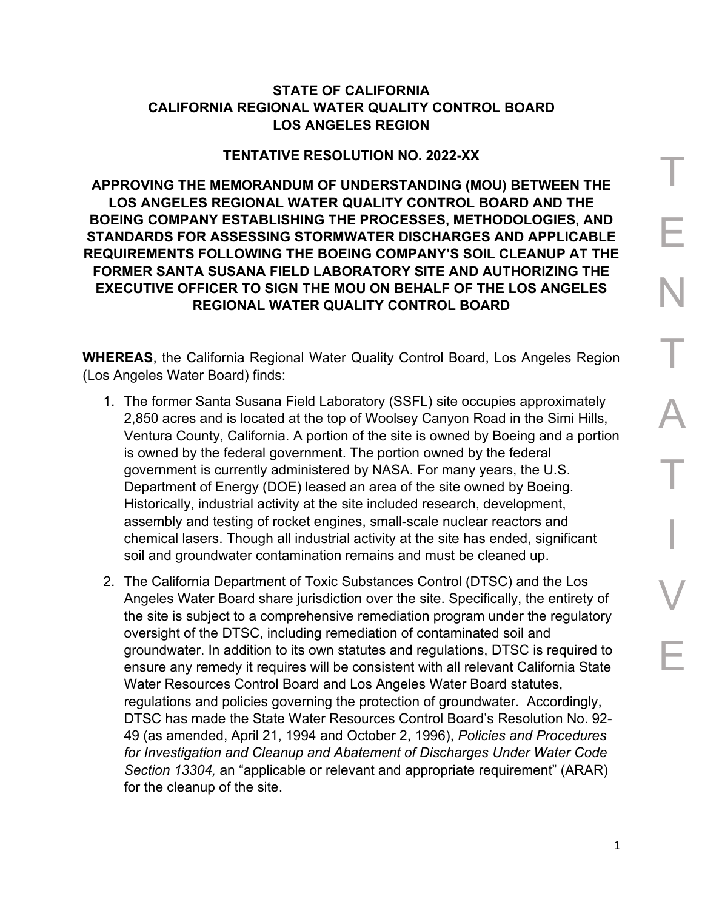## **STATE OF CALIFORNIA CALIFORNIA REGIONAL WATER QUALITY CONTROL BOARD LOS ANGELES REGION**

## **TENTATIVE RESOLUTION NO. 2022-XX**

**APPROVING THE MEMORANDUM OF UNDERSTANDING (MOU) BETWEEN THE LOS ANGELES REGIONAL WATER QUALITY CONTROL BOARD AND THE BOEING COMPANY ESTABLISHING THE PROCESSES, METHODOLOGIES, AND STANDARDS FOR ASSESSING STORMWATER DISCHARGES AND APPLICABLE REQUIREMENTS FOLLOWING THE BOEING COMPANY'S SOIL CLEANUP AT THE FORMER SANTA SUSANA FIELD LABORATORY SITE AND AUTHORIZING THE EXECUTIVE OFFICER TO SIGN THE MOU ON BEHALF OF THE LOS ANGELES REGIONAL WATER QUALITY CONTROL BOARD**

**WHEREAS**, the California Regional Water Quality Control Board, Los Angeles Region (Los Angeles Water Board) finds:

- 1. The former Santa Susana Field Laboratory (SSFL) site occupies approximately 2,850 acres and is located at the top of Woolsey Canyon Road in the Simi Hills, Ventura County, California. A portion of the site is owned by Boeing and a portion is owned by the federal government. The portion owned by the federal government is currently administered by NASA. For many years, the U.S. Department of Energy (DOE) leased an area of the site owned by Boeing. Historically, industrial activity at the site included research, development, assembly and testing of rocket engines, small-scale nuclear reactors and chemical lasers. Though all industrial activity at the site has ended, significant soil and groundwater contamination remains and must be cleaned up.
- 2. The California Department of Toxic Substances Control (DTSC) and the Los Angeles Water Board share jurisdiction over the site. Specifically, the entirety of the site is subject to a comprehensive remediation program under the regulatory oversight of the DTSC, including remediation of contaminated soil and groundwater. In addition to its own statutes and regulations, DTSC is required to ensure any remedy it requires will be consistent with all relevant California State Water Resources Control Board and Los Angeles Water Board statutes, regulations and policies governing the protection of groundwater. Accordingly, DTSC has made the State Water Resources Control Board's Resolution No. 92- 49 (as amended, April 21, 1994 and October 2, 1996), *Policies and Procedures for Investigation and Cleanup and Abatement of Discharges Under Water Code Section 13304,* an "applicable or relevant and appropriate requirement" (ARAR) for the cleanup of the site.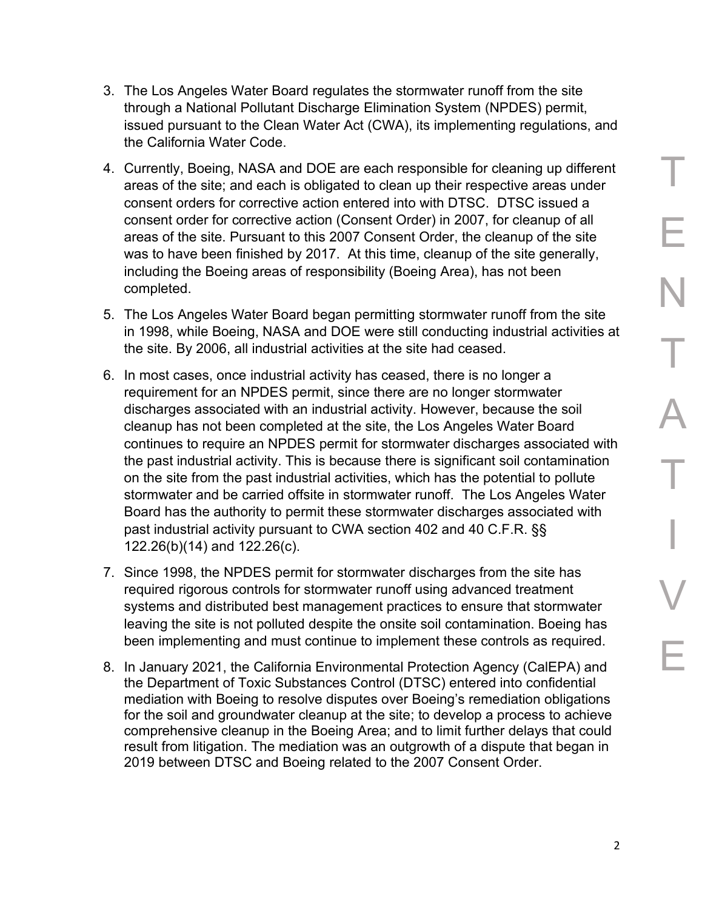- 3. The Los Angeles Water Board regulates the stormwater runoff from the site through a National Pollutant Discharge Elimination System (NPDES) permit, issued pursuant to the Clean Water Act (CWA), its implementing regulations, and the California Water Code.
- 4. Currently, Boeing, NASA and DOE are each responsible for cleaning up different areas of the site; and each is obligated to clean up their respective areas under consent orders for corrective action entered into with DTSC. DTSC issued a consent order for corrective action (Consent Order) in 2007, for cleanup of all areas of the site. Pursuant to this 2007 Consent Order, the cleanup of the site was to have been finished by 2017. At this time, cleanup of the site generally, including the Boeing areas of responsibility (Boeing Area), has not been completed.
- 5. The Los Angeles Water Board began permitting stormwater runoff from the site in 1998, while Boeing, NASA and DOE were still conducting industrial activities at the site. By 2006, all industrial activities at the site had ceased.
- 6. In most cases, once industrial activity has ceased, there is no longer a requirement for an NPDES permit, since there are no longer stormwater discharges associated with an industrial activity. However, because the soil cleanup has not been completed at the site, the Los Angeles Water Board continues to require an NPDES permit for stormwater discharges associated with the past industrial activity. This is because there is significant soil contamination on the site from the past industrial activities, which has the potential to pollute stormwater and be carried offsite in stormwater runoff. The Los Angeles Water Board has the authority to permit these stormwater discharges associated with past industrial activity pursuant to CWA section 402 and 40 C.F.R. §§ 122.26(b)(14) and 122.26(c).
- 7. Since 1998, the NPDES permit for stormwater discharges from the site has required rigorous controls for stormwater runoff using advanced treatment systems and distributed best management practices to ensure that stormwater leaving the site is not polluted despite the onsite soil contamination. Boeing has been implementing and must continue to implement these controls as required.
- 8. In January 2021, the California Environmental Protection Agency (CalEPA) and the Department of Toxic Substances Control (DTSC) entered into confidential mediation with Boeing to resolve disputes over Boeing's remediation obligations for the soil and groundwater cleanup at the site; to develop a process to achieve comprehensive cleanup in the Boeing Area; and to limit further delays that could result from litigation. The mediation was an outgrowth of a dispute that began in 2019 between DTSC and Boeing related to the 2007 Consent Order.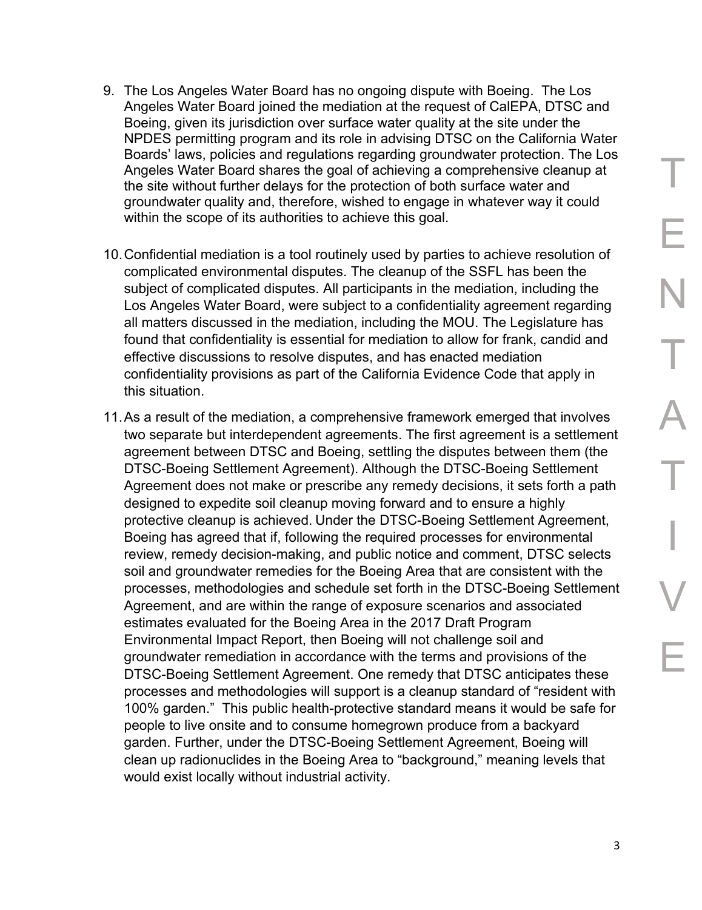- 9. The Los Angeles Water Board has no ongoing dispute with Boeing. The Los Angeles Water Board joined the mediation at the request of CalEPA, DTSC and Boeing, given its jurisdiction over surface water quality at the site under the NPDES permitting program and its role in advising DTSC on the California Water Boards' laws, policies and regulations regarding groundwater protection. The Los Angeles Water Board shares the goal of achieving a comprehensive cleanup at the site without further delays for the protection of both surface water and groundwater quality and, therefore, wished to engage in whatever way it could within the scope of its authorities to achieve this goal.
- 10.Confidential mediation is a tool routinely used by parties to achieve resolution of complicated environmental disputes. The cleanup of the SSFL has been the subject of complicated disputes. All participants in the mediation, including the Los Angeles Water Board, were subject to a confidentiality agreement regarding all matters discussed in the mediation, including the MOU. The Legislature has found that confidentiality is essential for mediation to allow for frank, candid and effective discussions to resolve disputes, and has enacted mediation confidentiality provisions as part of the California Evidence Code that apply in this situation.
- 11.As a result of the mediation, a comprehensive framework emerged that involves two separate but interdependent agreements. The first agreement is a settlement agreement between DTSC and Boeing, settling the disputes between them (the DTSC-Boeing Settlement Agreement). Although the DTSC-Boeing Settlement Agreement does not make or prescribe any remedy decisions, it sets forth a path designed to expedite soil cleanup moving forward and to ensure a highly protective cleanup is achieved. Under the DTSC-Boeing Settlement Agreement, Boeing has agreed that if, following the required processes for environmental review, remedy decision-making, and public notice and comment, DTSC selects soil and groundwater remedies for the Boeing Area that are consistent with the processes, methodologies and schedule set forth in the DTSC-Boeing Settlement Agreement, and are within the range of exposure scenarios and associated estimates evaluated for the Boeing Area in the 2017 Draft Program Environmental Impact Report, then Boeing will not challenge soil and groundwater remediation in accordance with the terms and provisions of the DTSC-Boeing Settlement Agreement. One remedy that DTSC anticipates these processes and methodologies will support is a cleanup standard of "resident with 100% garden." This public health-protective standard means it would be safe for people to live onsite and to consume homegrown produce from a backyard garden. Further, under the DTSC-Boeing Settlement Agreement, Boeing will clean up radionuclides in the Boeing Area to "background," meaning levels that would exist locally without industrial activity.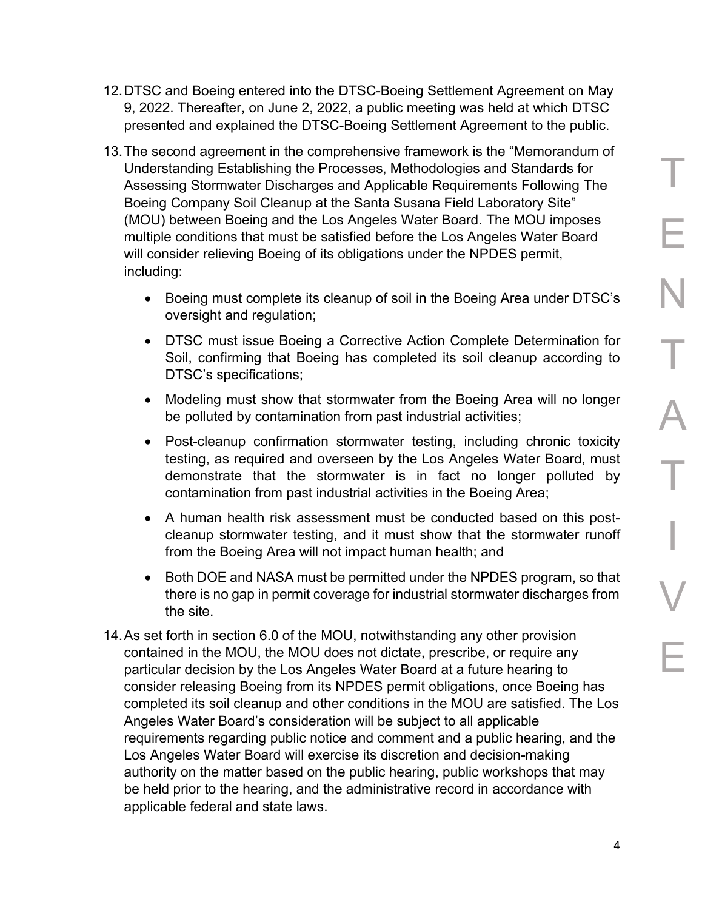- 12.DTSC and Boeing entered into the DTSC-Boeing Settlement Agreement on May 9, 2022. Thereafter, on June 2, 2022, a public meeting was held at which DTSC presented and explained the DTSC-Boeing Settlement Agreement to the public.
- 13.The second agreement in the comprehensive framework is the "Memorandum of Understanding Establishing the Processes, Methodologies and Standards for Assessing Stormwater Discharges and Applicable Requirements Following The Boeing Company Soil Cleanup at the Santa Susana Field Laboratory Site" (MOU) between Boeing and the Los Angeles Water Board. The MOU imposes multiple conditions that must be satisfied before the Los Angeles Water Board will consider relieving Boeing of its obligations under the NPDES permit, including:
	- · Boeing must complete its cleanup of soil in the Boeing Area under DTSC's oversight and regulation;
	- · DTSC must issue Boeing a Corrective Action Complete Determination for Soil, confirming that Boeing has completed its soil cleanup according to DTSC's specifications;
	- · Modeling must show that stormwater from the Boeing Area will no longer be polluted by contamination from past industrial activities;
	- · Post-cleanup confirmation stormwater testing, including chronic toxicity testing, as required and overseen by the Los Angeles Water Board, must demonstrate that the stormwater is in fact no longer polluted by contamination from past industrial activities in the Boeing Area;
	- · A human health risk assessment must be conducted based on this postcleanup stormwater testing, and it must show that the stormwater runoff from the Boeing Area will not impact human health; and
	- · Both DOE and NASA must be permitted under the NPDES program, so that there is no gap in permit coverage for industrial stormwater discharges from the site.
- 14.As set forth in section 6.0 of the MOU, notwithstanding any other provision contained in the MOU, the MOU does not dictate, prescribe, or require any particular decision by the Los Angeles Water Board at a future hearing to consider releasing Boeing from its NPDES permit obligations, once Boeing has completed its soil cleanup and other conditions in the MOU are satisfied. The Los Angeles Water Board's consideration will be subject to all applicable requirements regarding public notice and comment and a public hearing, and the Los Angeles Water Board will exercise its discretion and decision-making authority on the matter based on the public hearing, public workshops that may be held prior to the hearing, and the administrative record in accordance with applicable federal and state laws.